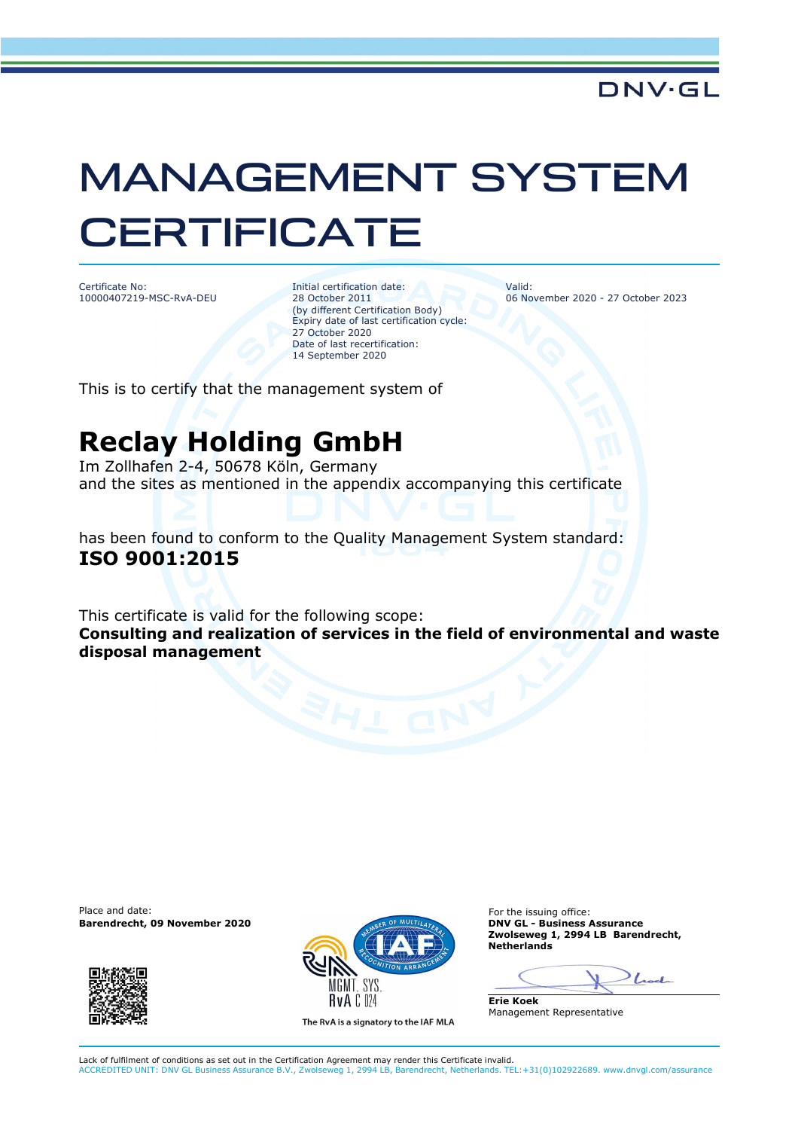## MANAGEMENT SYSTEM **CERTIFICATE**

Certificate No: 10000407219-MSC-RvA-DEU Initial certification date: 28 October 2011 (by different Certification Body) Expiry date of last certification cycle: 27 October 2020 Date of last recertification: 14 September 2020

Valid: 06 November 2020 - 27 October 2023

This is to certify that the management system of

## **Reclay Holding GmbH**

Im Zollhafen 2-4, 50678 Köln, Germany and the sites as mentioned in the appendix accompanying this certificate

has been found to conform to the Quality Management System standard: **ISO 9001:2015**

This certificate is valid for the following scope: **Consulting and realization of services in the field of environmental and waste disposal management** 

Place and date:<br> **Barendrecht, 09 November 2020 Contribution of the issuing of the issuing office:**<br> **Barendrecht, 09 November 2020 Barendrecht, 09 November 2020** 





**Zwolseweg 1, 2994 LB Barendrecht, Netherlands** 

 $_{\text{load}}$ 

**Erie Koek** Management Representative

Lack of fulfilment of conditions as set out in the Certification Agreement may render this Certificate invalid. ACCREDITED UNIT: DNV GL Business Assurance B.V., Zwolseweg 1, 2994 LB, Barendrecht, Netherlands. TEL:+31(0)102922689. www.dnvgl.com/assurance